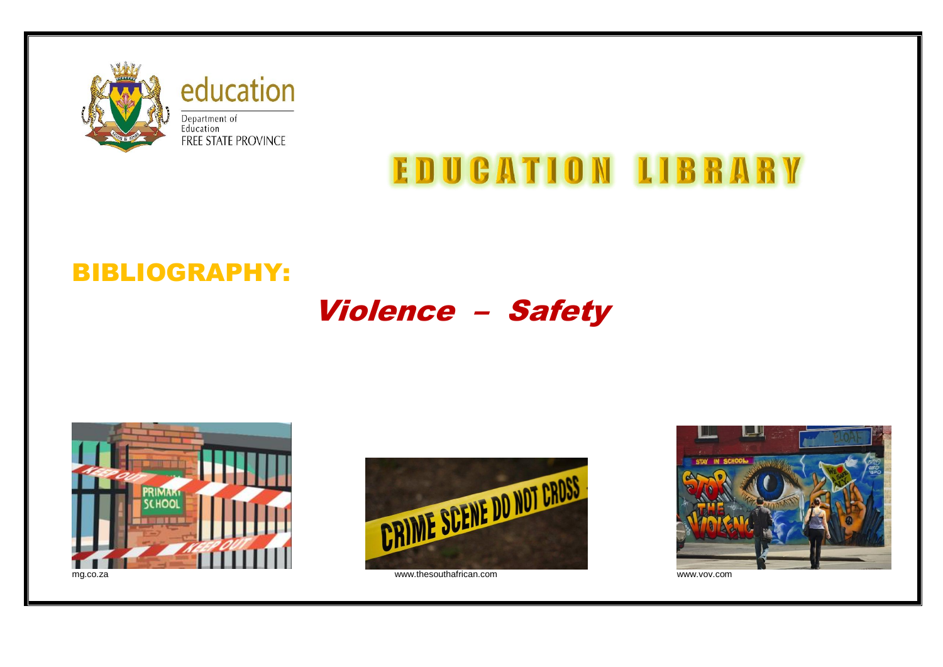

education Department of<br>Education FREE STATE PROVINCE

# **EDUCATION LIBRARY**

## BIBLIOGRAPHY:

## Violence – Safety





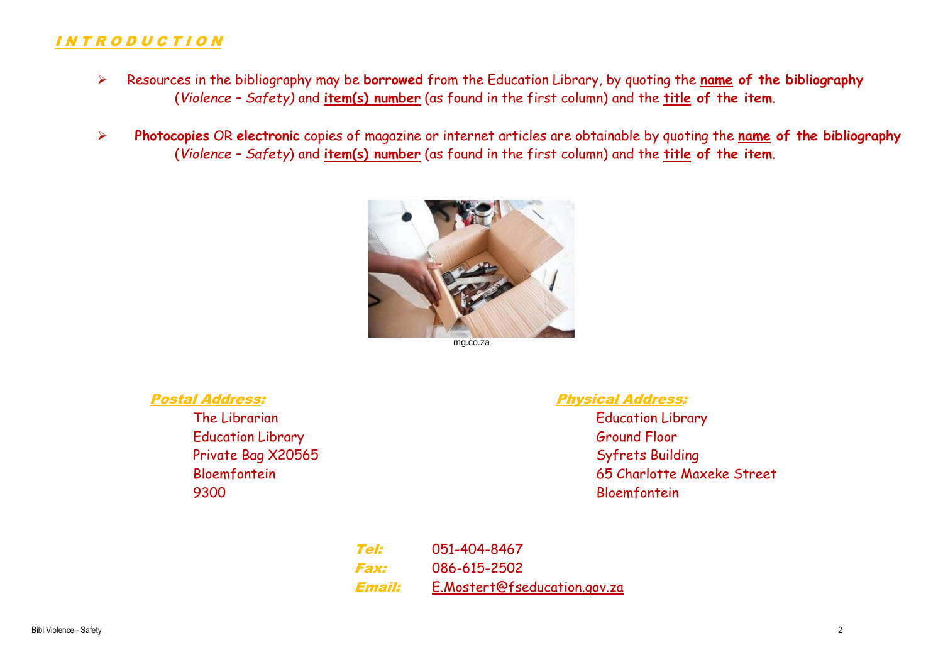#### I N T R O D U C T I O N

- Resources in the bibliography may be **borrowed** from the Education Library, by quoting the **name of the bibliography** (*Violence – Safety)* and **item(s) number** (as found in the first column) and the **title of the item**.
- **Photocopies** OR **electronic** copies of magazine or internet articles are obtainable by quoting the **name of the bibliography** (*Violence – Safety*) and **item(s) number** (as found in the first column) and the **title of the item**.



mg.co.za

Education Library Ground Floor Private Bag X20565 Syfrets Building 9300 Bloemfontein

#### Postal Address: Physical Address:

The Librarian The Library Communication Library Communication Library Bloemfontein 65 Charlotte Maxeke Street

> Tel: 051-404-8467 Fax: 086-615-2502 Email: [E.Mostert@fseducation.gov.za](mailto:E.Mostert@fseducation.gov.za)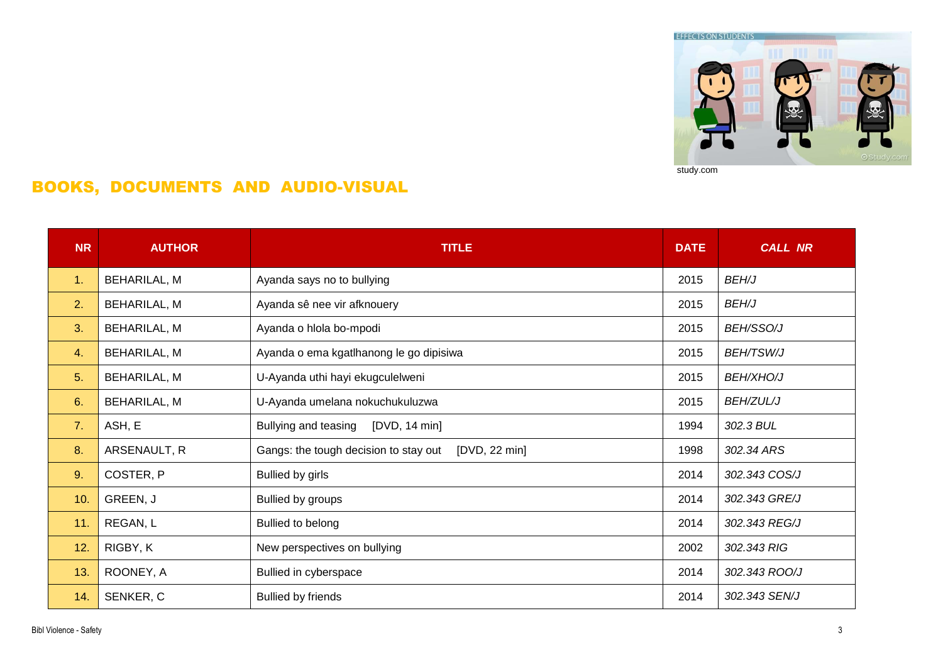

### BOOKS, DOCUMENTS AND AUDIO-VISUAL

| <b>NR</b>      | <b>AUTHOR</b>       | <b>TITLE</b>                                           | <b>DATE</b> | <b>CALL NR</b>   |
|----------------|---------------------|--------------------------------------------------------|-------------|------------------|
| 1.             | BEHARILAL, M        | Ayanda says no to bullying                             | 2015        | <b>BEH/J</b>     |
| 2.             | BEHARILAL, M        | Ayanda sê nee vir afknouery                            | 2015        | <b>BEH/J</b>     |
| 3 <sub>1</sub> | BEHARILAL, M        | Ayanda o hlola bo-mpodi                                | 2015        | <b>BEH/SSO/J</b> |
| 4.             | BEHARILAL, M        | Ayanda o ema kgatlhanong le go dipisiwa                | 2015        | <b>BEH/TSW/J</b> |
| 5.             | BEHARILAL, M        | U-Ayanda uthi hayi ekugculelweni                       | 2015        | <b>BEH/XHO/J</b> |
| 6.             | <b>BEHARILAL, M</b> | U-Ayanda umelana nokuchukuluzwa                        | 2015        | <b>BEH/ZUL/J</b> |
| 7.             | ASH, E              | Bullying and teasing<br>[DVD, 14 min]                  | 1994        | 302.3 BUL        |
| 8.             | ARSENAULT, R        | Gangs: the tough decision to stay out<br>[DVD, 22 min] | 1998        | 302.34 ARS       |
| 9.             | COSTER, P           | Bullied by girls                                       | 2014        | 302.343 COS/J    |
| 10.            | GREEN, J            | <b>Bullied by groups</b>                               | 2014        | 302.343 GRE/J    |
| 11.            | REGAN, L            | Bullied to belong                                      | 2014        | 302.343 REG/J    |
| 12.            | RIGBY, K            | New perspectives on bullying                           | 2002        | 302.343 RIG      |
| 13.            | ROONEY, A           | Bullied in cyberspace                                  | 2014        | 302.343 ROO/J    |
| 14.            | SENKER, C           | <b>Bullied by friends</b>                              | 2014        | 302.343 SEN/J    |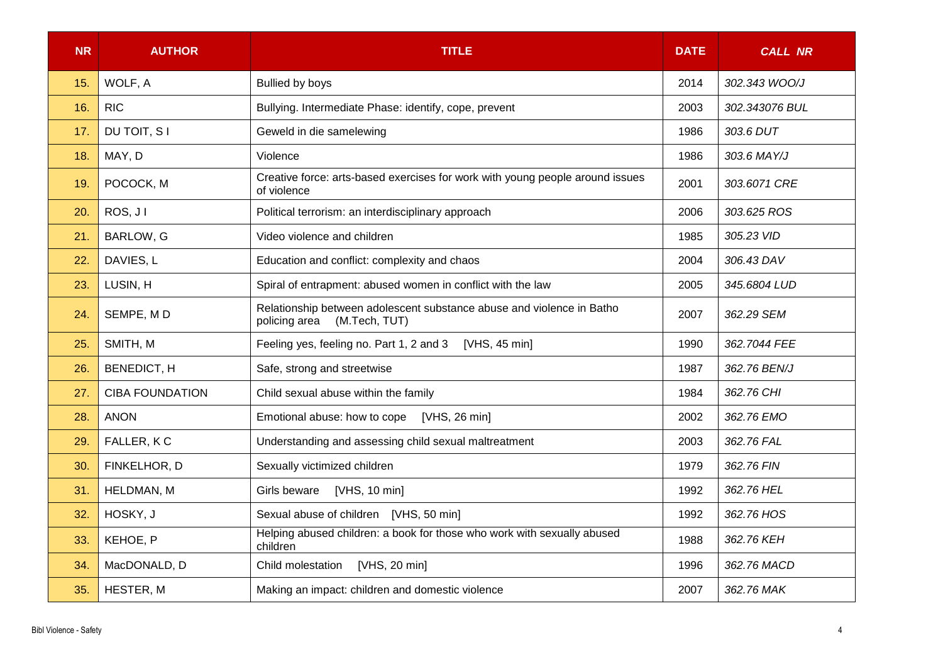| <b>NR</b> | <b>AUTHOR</b>          | <b>TITLE</b><br><b>DATE</b>                                                                             |      | <b>CALL NR</b> |
|-----------|------------------------|---------------------------------------------------------------------------------------------------------|------|----------------|
| 15.       | WOLF, A                | <b>Bullied by boys</b>                                                                                  | 2014 | 302.343 WOO/J  |
| 16.       | <b>RIC</b>             | Bullying. Intermediate Phase: identify, cope, prevent                                                   | 2003 | 302.343076 BUL |
| 17.       | DU TOIT, S I           | Geweld in die samelewing                                                                                | 1986 | 303.6 DUT      |
| 18.       | MAY, D                 | Violence                                                                                                | 1986 | 303.6 MAY/J    |
| 19.       | POCOCK, M              | Creative force: arts-based exercises for work with young people around issues<br>of violence            | 2001 | 303.6071 CRE   |
| 20.       | ROS, JI                | Political terrorism: an interdisciplinary approach                                                      | 2006 | 303.625 ROS    |
| 21.       | BARLOW, G              | Video violence and children                                                                             | 1985 | 305.23 VID     |
| 22.       | DAVIES, L              | Education and conflict: complexity and chaos                                                            | 2004 | 306.43 DAV     |
| 23.       | LUSIN, H               | Spiral of entrapment: abused women in conflict with the law                                             | 2005 | 345.6804 LUD   |
| 24.       | SEMPE, MD              | Relationship between adolescent substance abuse and violence in Batho<br>(M.Tech, TUT)<br>policing area | 2007 | 362.29 SEM     |
| 25.       | SMITH, M               | Feeling yes, feeling no. Part 1, 2 and 3<br>[VHS, $45 \text{ min}$ ]                                    | 1990 | 362.7044 FEE   |
| 26.       | BENEDICT, H            | Safe, strong and streetwise                                                                             | 1987 | 362.76 BEN/J   |
| 27.       | <b>CIBA FOUNDATION</b> | Child sexual abuse within the family                                                                    | 1984 | 362.76 CHI     |
| 28.       | <b>ANON</b>            | Emotional abuse: how to cope [VHS, 26 min]                                                              | 2002 | 362.76 EMO     |
| 29.       | FALLER, KC             | Understanding and assessing child sexual maltreatment                                                   | 2003 | 362.76 FAL     |
| 30.       | FINKELHOR, D           | Sexually victimized children                                                                            | 1979 | 362.76 FIN     |
| 31.       | HELDMAN, M             | Girls beware<br>[VHS, 10 min]                                                                           | 1992 | 362.76 HEL     |
| 32.       | HOSKY, J               | Sexual abuse of children [VHS, 50 min]                                                                  | 1992 | 362.76 HOS     |
| 33.       | KEHOE, P               | Helping abused children: a book for those who work with sexually abused<br>children                     | 1988 | 362.76 KEH     |
| 34.       | MacDONALD, D           | Child molestation<br>[VHS, 20 min]                                                                      | 1996 | 362.76 MACD    |
| 35.       | HESTER, M              | Making an impact: children and domestic violence                                                        | 2007 | 362.76 MAK     |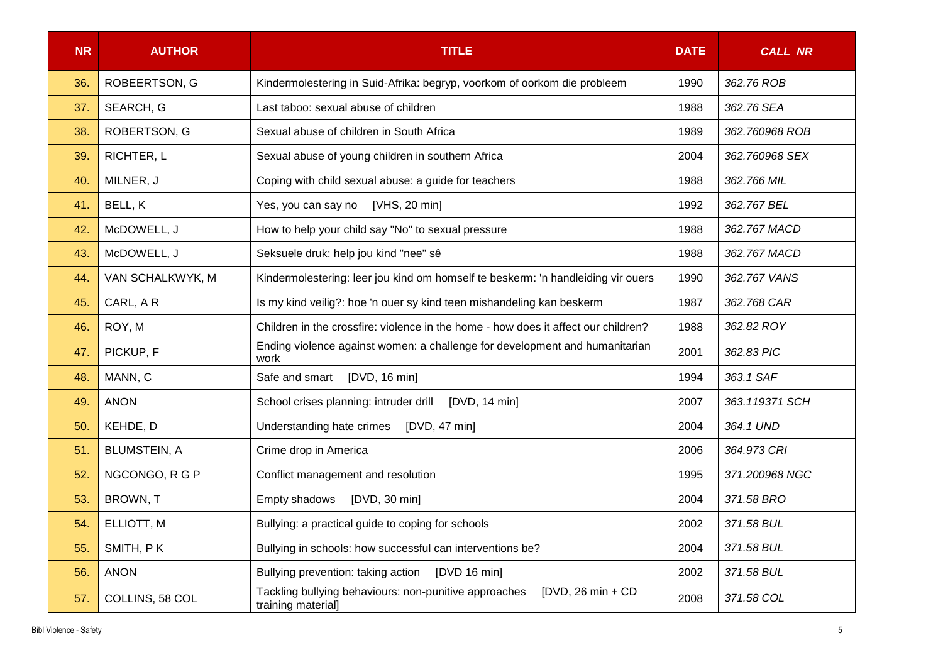| <b>NR</b> | <b>AUTHOR</b>       | <b>TITLE</b>                                                                                        |      | <b>CALL NR</b> |
|-----------|---------------------|-----------------------------------------------------------------------------------------------------|------|----------------|
| 36.       | ROBEERTSON, G       | Kindermolestering in Suid-Afrika: begryp, voorkom of oorkom die probleem                            | 1990 | 362.76 ROB     |
| 37.       | SEARCH, G           | Last taboo: sexual abuse of children                                                                | 1988 | 362.76 SEA     |
| 38.       | ROBERTSON, G        | Sexual abuse of children in South Africa                                                            | 1989 | 362.760968 ROB |
| 39.       | RICHTER, L          | Sexual abuse of young children in southern Africa                                                   | 2004 | 362.760968 SEX |
| 40.       | MILNER, J           | Coping with child sexual abuse: a guide for teachers                                                | 1988 | 362.766 MIL    |
| 41.       | BELL, K             | Yes, you can say no [VHS, 20 min]                                                                   | 1992 | 362.767 BEL    |
| 42.       | McDOWELL, J         | How to help your child say "No" to sexual pressure                                                  | 1988 | 362.767 MACD   |
| 43.       | McDOWELL, J         | Seksuele druk: help jou kind "nee" sê                                                               | 1988 | 362.767 MACD   |
| 44.       | VAN SCHALKWYK, M    | Kindermolestering: leer jou kind om homself te beskerm: 'n handleiding vir ouers                    | 1990 | 362.767 VANS   |
| 45.       | CARL, AR            | Is my kind veilig?: hoe 'n ouer sy kind teen mishandeling kan beskerm                               | 1987 | 362.768 CAR    |
| 46.       | ROY, M              | Children in the crossfire: violence in the home - how does it affect our children?                  | 1988 | 362.82 ROY     |
| 47.       | PICKUP, F           | Ending violence against women: a challenge for development and humanitarian<br>work                 | 2001 | 362.83 PIC     |
| 48.       | MANN, C             | [DVD, 16 min]<br>Safe and smart                                                                     | 1994 | 363.1 SAF      |
| 49.       | <b>ANON</b>         | School crises planning: intruder drill [DVD, 14 min]                                                | 2007 | 363.119371 SCH |
| 50.       | KEHDE, D            | Understanding hate crimes<br>[DVD, 47 min]                                                          | 2004 | 364.1 UND      |
| 51.       | <b>BLUMSTEIN, A</b> | Crime drop in America                                                                               | 2006 | 364.973 CRI    |
| 52.       | NGCONGO, R G P      | Conflict management and resolution                                                                  | 1995 | 371.200968 NGC |
| 53.       | BROWN, T            | Empty shadows<br>[DVD, 30 min]                                                                      | 2004 | 371.58 BRO     |
| 54.       | ELLIOTT, M          | Bullying: a practical guide to coping for schools                                                   | 2002 | 371.58 BUL     |
| 55.       | SMITH, PK           | Bullying in schools: how successful can interventions be?                                           | 2004 | 371.58 BUL     |
| 56.       | <b>ANON</b>         | Bullying prevention: taking action<br>[DVD 16 min]                                                  | 2002 | 371.58 BUL     |
| 57.       | COLLINS, 58 COL     | Tackling bullying behaviours: non-punitive approaches<br>$IDVD$ , 26 min + CD<br>training material] | 2008 | 371.58 COL     |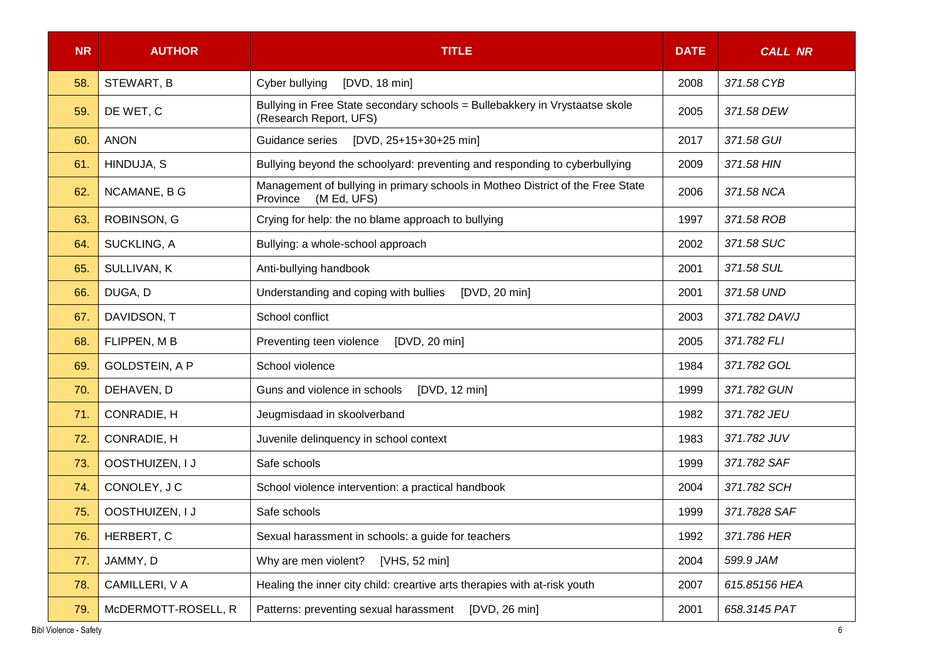| <b>NR</b> | <b>AUTHOR</b>         | <b>TITLE</b>                                                                                              |      | <b>CALL NR</b> |
|-----------|-----------------------|-----------------------------------------------------------------------------------------------------------|------|----------------|
| 58.       | STEWART, B            | [DVD, 18 min]<br>Cyber bullying                                                                           | 2008 | 371.58 CYB     |
| 59.       | DE WET, C             | Bullying in Free State secondary schools = Bullebakkery in Vrystaatse skole<br>(Research Report, UFS)     | 2005 | 371.58 DEW     |
| 60.       | <b>ANON</b>           | [DVD, 25+15+30+25 min]<br>Guidance series                                                                 | 2017 | 371.58 GUI     |
| 61.       | HINDUJA, S            | Bullying beyond the schoolyard: preventing and responding to cyberbullying                                | 2009 | 371.58 HIN     |
| 62.       | NCAMANE, B G          | Management of bullying in primary schools in Motheo District of the Free State<br>(M Ed, UFS)<br>Province | 2006 | 371.58 NCA     |
| 63.       | ROBINSON, G           | Crying for help: the no blame approach to bullying                                                        | 1997 | 371.58 ROB     |
| 64.       | SUCKLING, A           | Bullying: a whole-school approach                                                                         | 2002 | 371.58 SUC     |
| 65.       | SULLIVAN, K           | Anti-bullying handbook                                                                                    | 2001 | 371.58 SUL     |
| 66.       | DUGA, D               | Understanding and coping with bullies<br>[DVD, 20 min]                                                    | 2001 | 371.58 UND     |
| 67.       | DAVIDSON, T           | School conflict                                                                                           | 2003 | 371.782 DAV/J  |
| 68.       | FLIPPEN, MB           | Preventing teen violence<br>[DVD, 20 min]                                                                 | 2005 | 371.782 FLI    |
| 69.       | <b>GOLDSTEIN, A P</b> | School violence                                                                                           | 1984 | 371.782 GOL    |
| 70.       | DEHAVEN, D            | Guns and violence in schools<br>[DVD, 12 min]                                                             | 1999 | 371.782 GUN    |
| 71.       | CONRADIE, H           | Jeugmisdaad in skoolverband                                                                               | 1982 | 371.782 JEU    |
| 72.       | <b>CONRADIE, H</b>    | Juvenile delinquency in school context                                                                    | 1983 | 371.782 JUV    |
| 73.       | OOSTHUIZEN, I J       | Safe schools                                                                                              | 1999 | 371.782 SAF    |
| 74.       | CONOLEY, J C          | School violence intervention: a practical handbook                                                        | 2004 | 371.782 SCH    |
| 75.       | OOSTHUIZEN, I J       | Safe schools                                                                                              | 1999 | 371.7828 SAF   |
| 76.       | HERBERT, C            | Sexual harassment in schools: a guide for teachers                                                        | 1992 | 371.786 HER    |
| 77.       | JAMMY, D              | Why are men violent?<br>[VHS, 52 min]                                                                     | 2004 | 599.9 JAM      |
| 78.       | CAMILLERI, V A        | Healing the inner city child: creartive arts therapies with at-risk youth                                 | 2007 | 615.85156 HEA  |
| 79.       | McDERMOTT-ROSELL, R   | Patterns: preventing sexual harassment<br>[DVD, 26 min]                                                   | 2001 | 658.3145 PAT   |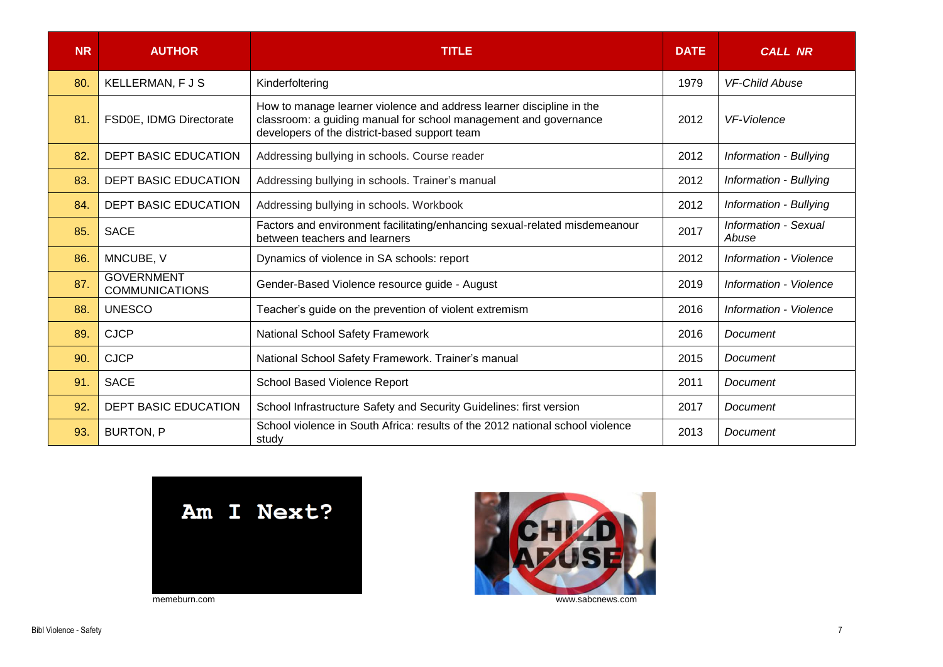| <b>NR</b> | <b>AUTHOR</b>                              | <b>TITLE</b><br><b>DATE</b>                                                                                                                                                               |      | <b>CALL NR</b>                |
|-----------|--------------------------------------------|-------------------------------------------------------------------------------------------------------------------------------------------------------------------------------------------|------|-------------------------------|
| 80.       | <b>KELLERMAN, FJS</b>                      | Kinderfoltering                                                                                                                                                                           | 1979 | <b>VF-Child Abuse</b>         |
| 81.       | FSD0E, IDMG Directorate                    | How to manage learner violence and address learner discipline in the<br>classroom: a guiding manual for school management and governance<br>developers of the district-based support team | 2012 | <b>VF-Violence</b>            |
| 82.       | <b>DEPT BASIC EDUCATION</b>                | Addressing bullying in schools. Course reader                                                                                                                                             | 2012 | Information - Bullying        |
| 83.       | <b>DEPT BASIC EDUCATION</b>                | Addressing bullying in schools. Trainer's manual                                                                                                                                          | 2012 | Information - Bullying        |
| 84.       | <b>DEPT BASIC EDUCATION</b>                | Addressing bullying in schools. Workbook                                                                                                                                                  | 2012 | Information - Bullying        |
| 85.       | <b>SACE</b>                                | Factors and environment facilitating/enhancing sexual-related misdemeanour<br>between teachers and learners                                                                               | 2017 | Information - Sexual<br>Abuse |
| 86.       | MNCUBE, V                                  | Dynamics of violence in SA schools: report                                                                                                                                                | 2012 | Information - Violence        |
| 87.       | <b>GOVERNMENT</b><br><b>COMMUNICATIONS</b> | Gender-Based Violence resource guide - August                                                                                                                                             | 2019 | Information - Violence        |
| 88.       | <b>UNESCO</b>                              | Teacher's guide on the prevention of violent extremism                                                                                                                                    | 2016 | Information - Violence        |
| 89.       | <b>CJCP</b>                                | National School Safety Framework                                                                                                                                                          | 2016 | Document                      |
| 90.       | <b>CJCP</b>                                | National School Safety Framework. Trainer's manual                                                                                                                                        | 2015 | Document                      |
| 91.       | <b>SACE</b>                                | School Based Violence Report                                                                                                                                                              | 2011 | Document                      |
| 92.       | <b>DEPT BASIC EDUCATION</b>                | School Infrastructure Safety and Security Guidelines: first version                                                                                                                       | 2017 | Document                      |
| 93.       | <b>BURTON, P</b>                           | School violence in South Africa: results of the 2012 national school violence<br>study                                                                                                    | 2013 | Document                      |



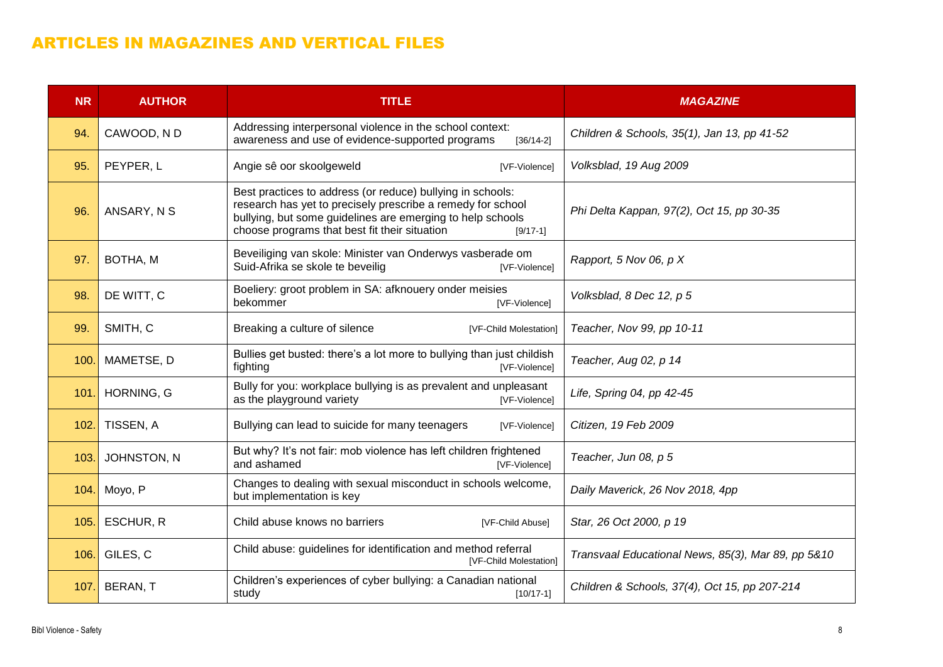### ARTICLES IN MAGAZINES AND VERTICAL FILES

| <b>NR</b> | <b>AUTHOR</b> | <b>TITLE</b>                                                                                                                                                                                                                                           | <b>MAGAZINE</b>                                    |
|-----------|---------------|--------------------------------------------------------------------------------------------------------------------------------------------------------------------------------------------------------------------------------------------------------|----------------------------------------------------|
| 94.       | CAWOOD, ND    | Addressing interpersonal violence in the school context:<br>awareness and use of evidence-supported programs<br>$[36/14-2]$                                                                                                                            | Children & Schools, 35(1), Jan 13, pp 41-52        |
| 95.       | PEYPER, L     | Angie sê oor skoolgeweld<br>[VF-Violence]                                                                                                                                                                                                              | Volksblad, 19 Aug 2009                             |
| 96.       | ANSARY, N S   | Best practices to address (or reduce) bullying in schools:<br>research has yet to precisely prescribe a remedy for school<br>bullying, but some guidelines are emerging to help schools<br>choose programs that best fit their situation<br>$[9/17-1]$ | Phi Delta Kappan, 97(2), Oct 15, pp 30-35          |
| 97.       | BOTHA, M      | Beveiliging van skole: Minister van Onderwys vasberade om<br>Suid-Afrika se skole te beveilig<br>[VF-Violence]                                                                                                                                         | Rapport, 5 Nov 06, p X                             |
| 98.       | DE WITT, C    | Boeliery: groot problem in SA: afknouery onder meisies<br>bekommer<br>[VF-Violence]                                                                                                                                                                    | Volksblad, 8 Dec 12, p 5                           |
| 99.       | SMITH, C      | Breaking a culture of silence<br>[VF-Child Molestation]                                                                                                                                                                                                | Teacher, Nov 99, pp 10-11                          |
| 100.      | MAMETSE, D    | Bullies get busted: there's a lot more to bullying than just childish<br>fighting<br>[VF-Violence]                                                                                                                                                     | Teacher, Aug 02, p 14                              |
| 101.      | HORNING, G    | Bully for you: workplace bullying is as prevalent and unpleasant<br>as the playground variety<br>[VF-Violence]                                                                                                                                         | Life, Spring 04, pp 42-45                          |
| 102.      | TISSEN, A     | Bullying can lead to suicide for many teenagers<br>[VF-Violence]                                                                                                                                                                                       | Citizen, 19 Feb 2009                               |
| 103.      | JOHNSTON, N   | But why? It's not fair: mob violence has left children frightened<br>and ashamed<br>[VF-Violence]                                                                                                                                                      | Teacher, Jun 08, p 5                               |
| 104.      | Moyo, P       | Changes to dealing with sexual misconduct in schools welcome,<br>but implementation is key                                                                                                                                                             | Daily Maverick, 26 Nov 2018, 4pp                   |
| 105.      | ESCHUR, R     | Child abuse knows no barriers<br>[VF-Child Abuse]                                                                                                                                                                                                      | Star, 26 Oct 2000, p 19                            |
| 106.      | GILES, C      | Child abuse: guidelines for identification and method referral<br>[VF-Child Molestation]                                                                                                                                                               | Transvaal Educational News, 85(3), Mar 89, pp 5&10 |
| 107.      | BERAN, T      | Children's experiences of cyber bullying: a Canadian national<br>study<br>$[10/17-1]$                                                                                                                                                                  | Children & Schools, 37(4), Oct 15, pp 207-214      |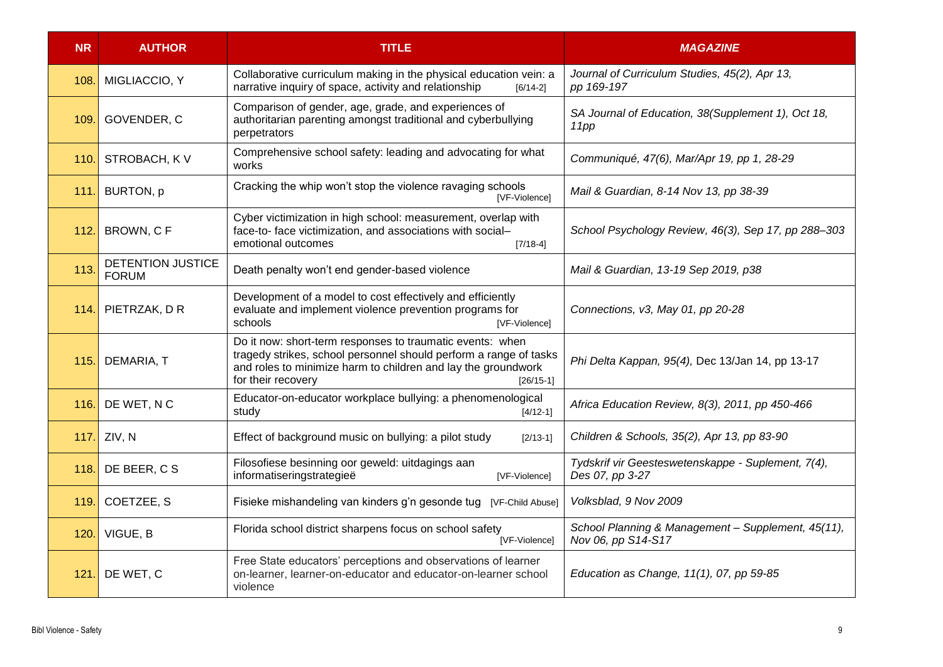| <b>NR</b> | <b>AUTHOR</b>                            | <b>TITLE</b>                                                                                                                                                                                                                         | <b>MAGAZINE</b>                                                          |
|-----------|------------------------------------------|--------------------------------------------------------------------------------------------------------------------------------------------------------------------------------------------------------------------------------------|--------------------------------------------------------------------------|
| 108.      | MIGLIACCIO, Y                            | Collaborative curriculum making in the physical education vein: a<br>narrative inquiry of space, activity and relationship<br>$[6/14-2]$                                                                                             | Journal of Curriculum Studies, 45(2), Apr 13,<br>pp 169-197              |
| 109.      | GOVENDER, C                              | Comparison of gender, age, grade, and experiences of<br>authoritarian parenting amongst traditional and cyberbullying<br>perpetrators                                                                                                | SA Journal of Education, 38(Supplement 1), Oct 18,<br>11pp               |
| 110.      | STROBACH, KV                             | Comprehensive school safety: leading and advocating for what<br>works                                                                                                                                                                | Communiqué, 47(6), Mar/Apr 19, pp 1, 28-29                               |
| 111.      | BURTON, p                                | Cracking the whip won't stop the violence ravaging schools<br><b>IVF-Violencel</b>                                                                                                                                                   | Mail & Guardian, 8-14 Nov 13, pp 38-39                                   |
| 112.      | BROWN, CF                                | Cyber victimization in high school: measurement, overlap with<br>face-to- face victimization, and associations with social-<br>emotional outcomes<br>$[7/18-4]$                                                                      | School Psychology Review, 46(3), Sep 17, pp 288-303                      |
| 113.      | <b>DETENTION JUSTICE</b><br><b>FORUM</b> | Death penalty won't end gender-based violence                                                                                                                                                                                        | Mail & Guardian, 13-19 Sep 2019, p38                                     |
| 114.      | PIETRZAK, DR                             | Development of a model to cost effectively and efficiently<br>evaluate and implement violence prevention programs for<br>schools<br>[VF-Violence]                                                                                    | Connections, v3, May 01, pp 20-28                                        |
| 115.      | DEMARIA, T                               | Do it now: short-term responses to traumatic events: when<br>tragedy strikes, school personnel should perform a range of tasks<br>and roles to minimize harm to children and lay the groundwork<br>for their recovery<br>$[26/15-1]$ | Phi Delta Kappan, 95(4), Dec 13/Jan 14, pp 13-17                         |
| 116.      | DE WET, NC                               | Educator-on-educator workplace bullying: a phenomenological<br>study<br>$[4/12-1]$                                                                                                                                                   | Africa Education Review, 8(3), 2011, pp 450-466                          |
| 117.      | ZIV, N                                   | Effect of background music on bullying: a pilot study<br>$[2/13-1]$                                                                                                                                                                  | Children & Schools, 35(2), Apr 13, pp 83-90                              |
|           | 118. DE BEER, C S                        | Filosofiese besinning oor geweld: uitdagings aan<br>informatiseringstrategieë<br>[VF-Violence]                                                                                                                                       | Tydskrif vir Geesteswetenskappe - Suplement, 7(4),<br>Des 07, pp 3-27    |
| 119.      | COETZEE, S                               | Fisieke mishandeling van kinders g'n gesonde tug [VF-Child Abuse]                                                                                                                                                                    | Volksblad, 9 Nov 2009                                                    |
| 120.      | VIGUE, B                                 | Florida school district sharpens focus on school safety<br>[VF-Violence]                                                                                                                                                             | School Planning & Management - Supplement, 45(11),<br>Nov 06, pp S14-S17 |
| 121.      | DE WET, C                                | Free State educators' perceptions and observations of learner<br>on-learner, learner-on-educator and educator-on-learner school<br>violence                                                                                          | Education as Change, 11(1), 07, pp 59-85                                 |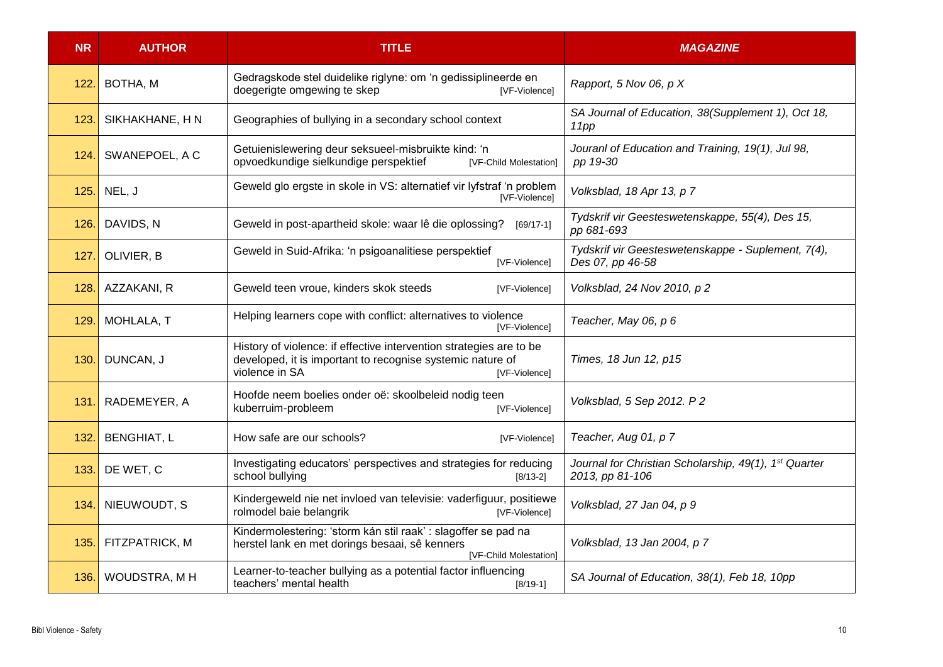| <b>NR</b> | <b>AUTHOR</b>      | <b>TITLE</b>                                                                                                                                                         | <b>MAGAZINE</b>                                                                      |
|-----------|--------------------|----------------------------------------------------------------------------------------------------------------------------------------------------------------------|--------------------------------------------------------------------------------------|
| 122.      | BOTHA, M           | Gedragskode stel duidelike riglyne: om 'n gedissiplineerde en<br>doegerigte omgewing te skep<br>[VF-Violence]                                                        | Rapport, 5 Nov 06, p X                                                               |
| 123.      | SIKHAKHANE, HN     | Geographies of bullying in a secondary school context                                                                                                                | SA Journal of Education, 38(Supplement 1), Oct 18,<br>11pp                           |
| 124.      | SWANEPOEL, A C     | Getuienislewering deur seksueel-misbruikte kind: 'n<br>opvoedkundige sielkundige perspektief<br>[VF-Child Molestation]                                               | Jouranl of Education and Training, 19(1), Jul 98,<br>pp 19-30                        |
| 125.      | NEL, J             | Geweld glo ergste in skole in VS: alternatief vir lyfstraf 'n problem<br>[VF-Violence]                                                                               | Volksblad, 18 Apr 13, p 7                                                            |
| 126.      | DAVIDS, N          | Geweld in post-apartheid skole: waar lê die oplossing?<br>$[69/17-1]$                                                                                                | Tydskrif vir Geesteswetenskappe, 55(4), Des 15,<br>pp 681-693                        |
| 127.      | OLIVIER, B         | Geweld in Suid-Afrika: 'n psigoanalitiese perspektief<br>[VF-Violence]                                                                                               | Tydskrif vir Geesteswetenskappe - Suplement, 7(4),<br>Des 07, pp 46-58               |
| 128.      | AZZAKANI, R        | Geweld teen vroue, kinders skok steeds<br>[VF-Violence]                                                                                                              | Volksblad, 24 Nov 2010, p 2                                                          |
| 129.      | MOHLALA, T         | Helping learners cope with conflict: alternatives to violence<br>[VF-Violence]                                                                                       | Teacher, May 06, p 6                                                                 |
| 130.      | DUNCAN, J          | History of violence: if effective intervention strategies are to be<br>developed, it is important to recognise systemic nature of<br>violence in SA<br>[VF-Violence] | Times, 18 Jun 12, p15                                                                |
| 131       | RADEMEYER, A       | Hoofde neem boelies onder oë: skoolbeleid nodig teen<br>kuberruim-probleem<br>[VF-Violence]                                                                          | Volksblad, 5 Sep 2012. P 2                                                           |
| 132.      | <b>BENGHIAT, L</b> | How safe are our schools?<br>[VF-Violence]                                                                                                                           | Teacher, Aug 01, p 7                                                                 |
| 133.      | DE WET, C          | Investigating educators' perspectives and strategies for reducing<br>school bullying<br>$[8/13-2]$                                                                   | Journal for Christian Scholarship, 49(1), 1 <sup>st</sup> Quarter<br>2013, pp 81-106 |
| 134.      | NIEUWOUDT, S       | Kindergeweld nie net invloed van televisie: vaderfiguur, positiewe<br>rolmodel baie belangrik<br>[VF-Violence]                                                       | Volksblad, 27 Jan 04, p 9                                                            |
| 135.      | FITZPATRICK, M     | Kindermolestering: 'storm kán stil raak' : slagoffer se pad na<br>herstel lank en met dorings besaai, sê kenners<br>[VF-Child Molestation]                           | Volksblad, 13 Jan 2004, p 7                                                          |
| 136.      | WOUDSTRA, MH       | Learner-to-teacher bullying as a potential factor influencing<br>teachers' mental health<br>$[8/19-1]$                                                               | SA Journal of Education, 38(1), Feb 18, 10pp                                         |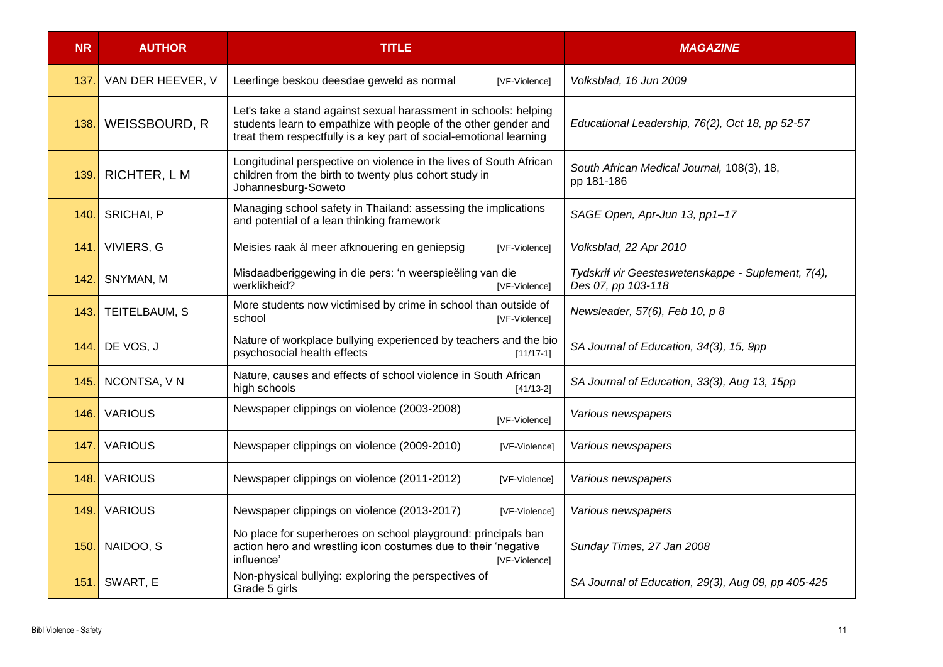| <b>NR</b> | <b>AUTHOR</b>     | <b>TITLE</b>                                                                                                                                                                                              | <b>MAGAZINE</b>                                                          |
|-----------|-------------------|-----------------------------------------------------------------------------------------------------------------------------------------------------------------------------------------------------------|--------------------------------------------------------------------------|
| 137.      | VAN DER HEEVER, V | Leerlinge beskou deesdae geweld as normal<br>[VF-Violence]                                                                                                                                                | Volksblad, 16 Jun 2009                                                   |
| 138.      | WEISSBOURD, R     | Let's take a stand against sexual harassment in schools: helping<br>students learn to empathize with people of the other gender and<br>treat them respectfully is a key part of social-emotional learning | Educational Leadership, 76(2), Oct 18, pp 52-57                          |
| 139       | RICHTER, L M      | Longitudinal perspective on violence in the lives of South African<br>children from the birth to twenty plus cohort study in<br>Johannesburg-Soweto                                                       | South African Medical Journal, 108(3), 18,<br>pp 181-186                 |
| 140.      | SRICHAI, P        | Managing school safety in Thailand: assessing the implications<br>and potential of a lean thinking framework                                                                                              | SAGE Open, Apr-Jun 13, pp1-17                                            |
| 141.      | VIVIERS, G        | Meisies raak ál meer afknouering en geniepsig<br>[VF-Violence]                                                                                                                                            | Volksblad, 22 Apr 2010                                                   |
| 142.      | SNYMAN, M         | Misdaadberiggewing in die pers: 'n weerspieëling van die<br>werklikheid?<br>[VF-Violence]                                                                                                                 | Tydskrif vir Geesteswetenskappe - Suplement, 7(4),<br>Des 07, pp 103-118 |
| 143.      | TEITELBAUM, S     | More students now victimised by crime in school than outside of<br>school<br>[VF-Violence]                                                                                                                | Newsleader, 57(6), Feb 10, p 8                                           |
| 144.      | DE VOS, J         | Nature of workplace bullying experienced by teachers and the bio<br>psychosocial health effects<br>$[11/17-1]$                                                                                            | SA Journal of Education, 34(3), 15, 9pp                                  |
| 145.      | NCONTSA, VN       | Nature, causes and effects of school violence in South African<br>high schools<br>$[41/13-2]$                                                                                                             | SA Journal of Education, 33(3), Aug 13, 15pp                             |
| 146.      | <b>VARIOUS</b>    | Newspaper clippings on violence (2003-2008)<br>[VF-Violence]                                                                                                                                              | Various newspapers                                                       |
| 147.      | <b>VARIOUS</b>    | Newspaper clippings on violence (2009-2010)<br>[VF-Violence]                                                                                                                                              | Various newspapers                                                       |
| 148.      | <b>VARIOUS</b>    | Newspaper clippings on violence (2011-2012)<br>[VF-Violence]                                                                                                                                              | Various newspapers                                                       |
| 149.      | <b>VARIOUS</b>    | Newspaper clippings on violence (2013-2017)<br>[VF-Violence]                                                                                                                                              | Various newspapers                                                       |
| 150.      | NAIDOO, S         | No place for superheroes on school playground: principals ban<br>action hero and wrestling icon costumes due to their 'negative<br>influence'<br>[VF-Violence]                                            | Sunday Times, 27 Jan 2008                                                |
| 151.      | SWART, E          | Non-physical bullying: exploring the perspectives of<br>Grade 5 girls                                                                                                                                     | SA Journal of Education, 29(3), Aug 09, pp 405-425                       |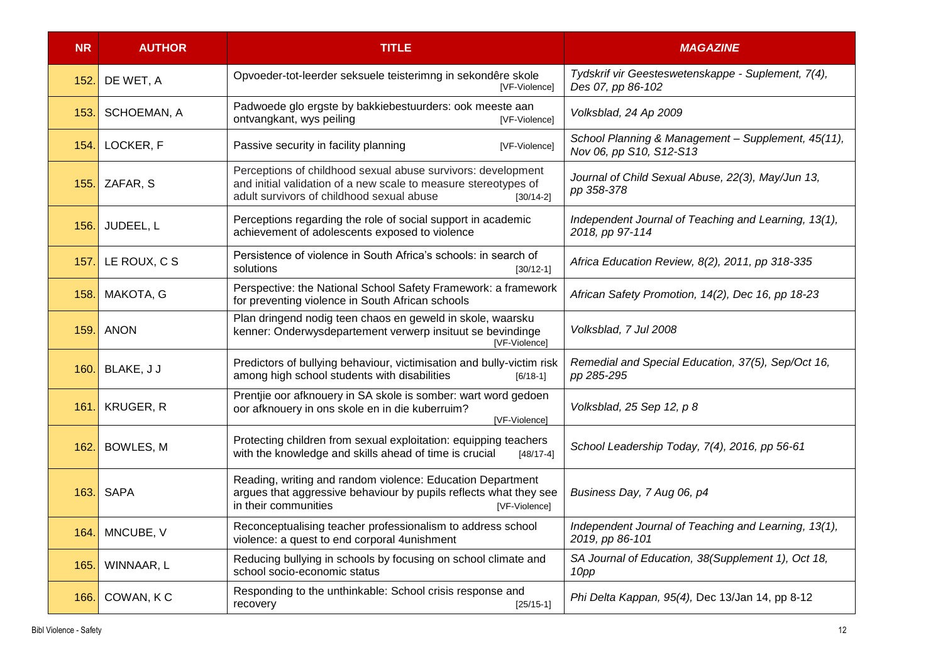| <b>NR</b> | <b>AUTHOR</b>    | <b>TITLE</b>                                                                                                                                                                                | <b>MAGAZINE</b>                                                               |
|-----------|------------------|---------------------------------------------------------------------------------------------------------------------------------------------------------------------------------------------|-------------------------------------------------------------------------------|
| 152.      | DE WET, A        | Opvoeder-tot-leerder seksuele teisterimng in sekondêre skole<br>[VF-Violence]                                                                                                               | Tydskrif vir Geesteswetenskappe - Suplement, 7(4),<br>Des 07, pp 86-102       |
| 153.      | SCHOEMAN, A      | Padwoede glo ergste by bakkiebestuurders: ook meeste aan<br>ontvangkant, wys peiling<br>[VF-Violence]                                                                                       | Volksblad, 24 Ap 2009                                                         |
| 154.      | LOCKER, F        | Passive security in facility planning<br>[VF-Violence]                                                                                                                                      | School Planning & Management - Supplement, 45(11),<br>Nov 06, pp S10, S12-S13 |
| 155.      | ZAFAR, S         | Perceptions of childhood sexual abuse survivors: development<br>and initial validation of a new scale to measure stereotypes of<br>adult survivors of childhood sexual abuse<br>$[30/14-2]$ | Journal of Child Sexual Abuse, 22(3), May/Jun 13,<br>pp 358-378               |
| 156.      | JUDEEL, L        | Perceptions regarding the role of social support in academic<br>achievement of adolescents exposed to violence                                                                              | Independent Journal of Teaching and Learning, 13(1),<br>2018, pp 97-114       |
| 157.      | LE ROUX, C S     | Persistence of violence in South Africa's schools: in search of<br>solutions<br>$[30/12-1]$                                                                                                 | Africa Education Review, 8(2), 2011, pp 318-335                               |
| 158.      | MAKOTA, G        | Perspective: the National School Safety Framework: a framework<br>for preventing violence in South African schools                                                                          | African Safety Promotion, 14(2), Dec 16, pp 18-23                             |
| 159.      | <b>ANON</b>      | Plan dringend nodig teen chaos en geweld in skole, waarsku<br>kenner: Onderwysdepartement verwerp insituut se bevindinge<br>[VF-Violence]                                                   | Volksblad, 7 Jul 2008                                                         |
| 160.      | BLAKE, J J       | Predictors of bullying behaviour, victimisation and bully-victim risk<br>among high school students with disabilities<br>$[6/18-1]$                                                         | Remedial and Special Education, 37(5), Sep/Oct 16,<br>pp 285-295              |
| 161.      | <b>KRUGER, R</b> | Prentjie oor afknouery in SA skole is somber: wart word gedoen<br>oor afknouery in ons skole en in die kuberruim?<br>[VF-Violence]                                                          | Volksblad, 25 Sep 12, p 8                                                     |
| 162.      | <b>BOWLES, M</b> | Protecting children from sexual exploitation: equipping teachers<br>with the knowledge and skills ahead of time is crucial<br>$[48/17-4]$                                                   | School Leadership Today, 7(4), 2016, pp 56-61                                 |
| 163.      | <b>SAPA</b>      | Reading, writing and random violence: Education Department<br>argues that aggressive behaviour by pupils reflects what they see<br>in their communities<br>[VF-Violence]                    | Business Day, 7 Aug 06, p4                                                    |
| 164.      | MNCUBE, V        | Reconceptualising teacher professionalism to address school<br>violence: a quest to end corporal 4unishment                                                                                 | Independent Journal of Teaching and Learning, 13(1),<br>2019, pp 86-101       |
| 165.      | WINNAAR, L       | Reducing bullying in schools by focusing on school climate and<br>school socio-economic status                                                                                              | SA Journal of Education, 38(Supplement 1), Oct 18,<br>10pp                    |
| 166.      | COWAN, KC        | Responding to the unthinkable: School crisis response and<br>recovery<br>$[25/15-1]$                                                                                                        | Phi Delta Kappan, 95(4), Dec 13/Jan 14, pp 8-12                               |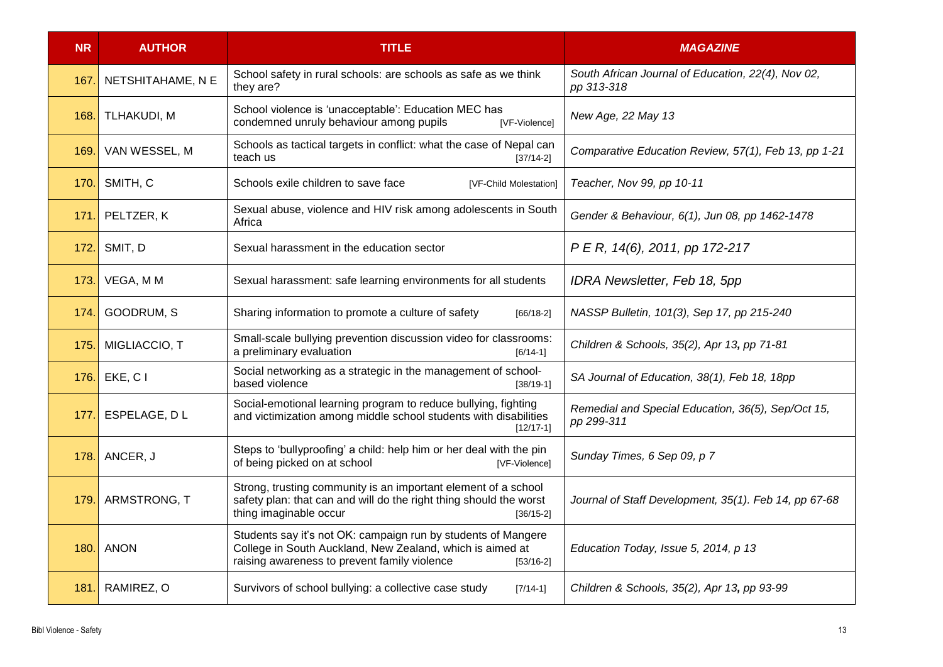| <b>NR</b> | <b>AUTHOR</b>      | <b>TITLE</b>                                                                                                                                                                              | <b>MAGAZINE</b>                                                  |
|-----------|--------------------|-------------------------------------------------------------------------------------------------------------------------------------------------------------------------------------------|------------------------------------------------------------------|
| 167.      | NETSHITAHAME, N E  | School safety in rural schools: are schools as safe as we think<br>they are?                                                                                                              | South African Journal of Education, 22(4), Nov 02,<br>pp 313-318 |
| 168.      | <b>TLHAKUDI, M</b> | School violence is 'unacceptable': Education MEC has<br>condemned unruly behaviour among pupils<br>[VF-Violence]                                                                          | New Age, 22 May 13                                               |
| 169.      | VAN WESSEL, M      | Schools as tactical targets in conflict: what the case of Nepal can<br>teach us<br>$[37/14-2]$                                                                                            | Comparative Education Review, 57(1), Feb 13, pp 1-21             |
| 170.      | SMITH, C           | Schools exile children to save face<br>[VF-Child Molestation]                                                                                                                             | Teacher, Nov 99, pp 10-11                                        |
| 171.      | PELTZER, K         | Sexual abuse, violence and HIV risk among adolescents in South<br>Africa                                                                                                                  | Gender & Behaviour, 6(1), Jun 08, pp 1462-1478                   |
| 172.      | SMIT, D            | Sexual harassment in the education sector                                                                                                                                                 | P E R, 14(6), 2011, pp 172-217                                   |
| 173.      | VEGA, M M          | Sexual harassment: safe learning environments for all students                                                                                                                            | IDRA Newsletter, Feb 18, 5pp                                     |
| 174.      | GOODRUM, S         | Sharing information to promote a culture of safety<br>$[66/18-2]$                                                                                                                         | NASSP Bulletin, 101(3), Sep 17, pp 215-240                       |
| 175.      | MIGLIACCIO, T      | Small-scale bullying prevention discussion video for classrooms:<br>a preliminary evaluation<br>$[6/14-1]$                                                                                | Children & Schools, 35(2), Apr 13, pp 71-81                      |
| 176.      | EKE, C I           | Social networking as a strategic in the management of school-<br>based violence<br>$[38/19-1]$                                                                                            | SA Journal of Education, 38(1), Feb 18, 18pp                     |
| 177.      | ESPELAGE, DL       | Social-emotional learning program to reduce bullying, fighting<br>and victimization among middle school students with disabilities<br>$[12/17-1]$                                         | Remedial and Special Education, 36(5), Sep/Oct 15,<br>pp 299-311 |
| 178.      | ANCER, J           | Steps to 'bullyproofing' a child: help him or her deal with the pin<br>of being picked on at school<br>[VF-Violence]                                                                      | Sunday Times, 6 Sep 09, p 7                                      |
| 179.      | ARMSTRONG, T       | Strong, trusting community is an important element of a school<br>safety plan: that can and will do the right thing should the worst<br>thing imaginable occur<br>$[36/15-2]$             | Journal of Staff Development, 35(1). Feb 14, pp 67-68            |
| 180.      | <b>ANON</b>        | Students say it's not OK: campaign run by students of Mangere<br>College in South Auckland, New Zealand, which is aimed at<br>raising awareness to prevent family violence<br>$[53/16-2]$ | Education Today, Issue 5, 2014, p 13                             |
| 181.      | RAMIREZ, O         | Survivors of school bullying: a collective case study<br>$[7/14-1]$                                                                                                                       | Children & Schools, 35(2), Apr 13, pp 93-99                      |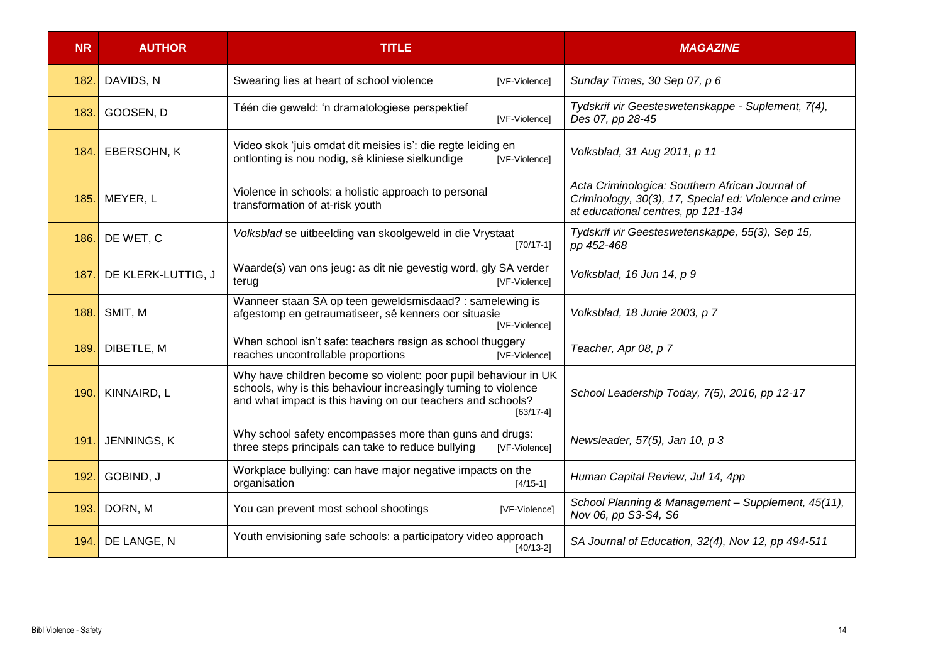| <b>NR</b> | <b>AUTHOR</b>      | <b>TITLE</b>                                                                                                                                                                                                     | <b>MAGAZINE</b>                                                                                                                                 |
|-----------|--------------------|------------------------------------------------------------------------------------------------------------------------------------------------------------------------------------------------------------------|-------------------------------------------------------------------------------------------------------------------------------------------------|
| 182.      | DAVIDS, N          | Swearing lies at heart of school violence<br>[VF-Violence]                                                                                                                                                       | Sunday Times, 30 Sep 07, p 6                                                                                                                    |
| 183.      | GOOSEN, D          | Téén die geweld: 'n dramatologiese perspektief<br>[VF-Violence]                                                                                                                                                  | Tydskrif vir Geesteswetenskappe - Suplement, 7(4),<br>Des 07, pp 28-45                                                                          |
| 184.      | EBERSOHN, K        | Video skok 'juis omdat dit meisies is': die regte leiding en<br>ontlonting is nou nodig, sê kliniese sielkundige<br>[VF-Violence]                                                                                | Volksblad, 31 Aug 2011, p 11                                                                                                                    |
| 185.      | MEYER, L           | Violence in schools: a holistic approach to personal<br>transformation of at-risk youth                                                                                                                          | Acta Criminologica: Southern African Journal of<br>Criminology, 30(3), 17, Special ed: Violence and crime<br>at educational centres, pp 121-134 |
| 186.      | DE WET, C          | Volksblad se uitbeelding van skoolgeweld in die Vrystaat<br>$[70/17-1]$                                                                                                                                          | Tydskrif vir Geesteswetenskappe, 55(3), Sep 15,<br>pp 452-468                                                                                   |
| 187.      | DE KLERK-LUTTIG, J | Waarde(s) van ons jeug: as dit nie gevestig word, gly SA verder<br>[VF-Violence]<br>terug                                                                                                                        | Volksblad, 16 Jun 14, p 9                                                                                                                       |
| 188.      | SMIT, M            | Wanneer staan SA op teen geweldsmisdaad? : samelewing is<br>afgestomp en getraumatiseer, sê kenners oor situasie<br><b>IVF-Violencel</b>                                                                         | Volksblad, 18 Junie 2003, p 7                                                                                                                   |
| 189.      | DIBETLE, M         | When school isn't safe: teachers resign as school thuggery<br>reaches uncontrollable proportions<br>[VF-Violence]                                                                                                | Teacher, Apr 08, p 7                                                                                                                            |
| 190       | KINNAIRD, L        | Why have children become so violent: poor pupil behaviour in UK<br>schools, why is this behaviour increasingly turning to violence<br>and what impact is this having on our teachers and schools?<br>$[63/17-4]$ | School Leadership Today, 7(5), 2016, pp 12-17                                                                                                   |
| 191       | JENNINGS, K        | Why school safety encompasses more than guns and drugs:<br>three steps principals can take to reduce bullying<br>[VF-Violence]                                                                                   | Newsleader, 57(5), Jan 10, p 3                                                                                                                  |
| 192       | GOBIND, J          | Workplace bullying: can have major negative impacts on the<br>organisation<br>$[4/15-1]$                                                                                                                         | Human Capital Review, Jul 14, 4pp                                                                                                               |
| 193.      | DORN, M            | You can prevent most school shootings<br>[VF-Violence]                                                                                                                                                           | School Planning & Management - Supplement, 45(11),<br>Nov 06, pp S3-S4, S6                                                                      |
| 194.      | DE LANGE, N        | Youth envisioning safe schools: a participatory video approach<br>$[40/13-2]$                                                                                                                                    | SA Journal of Education, 32(4), Nov 12, pp 494-511                                                                                              |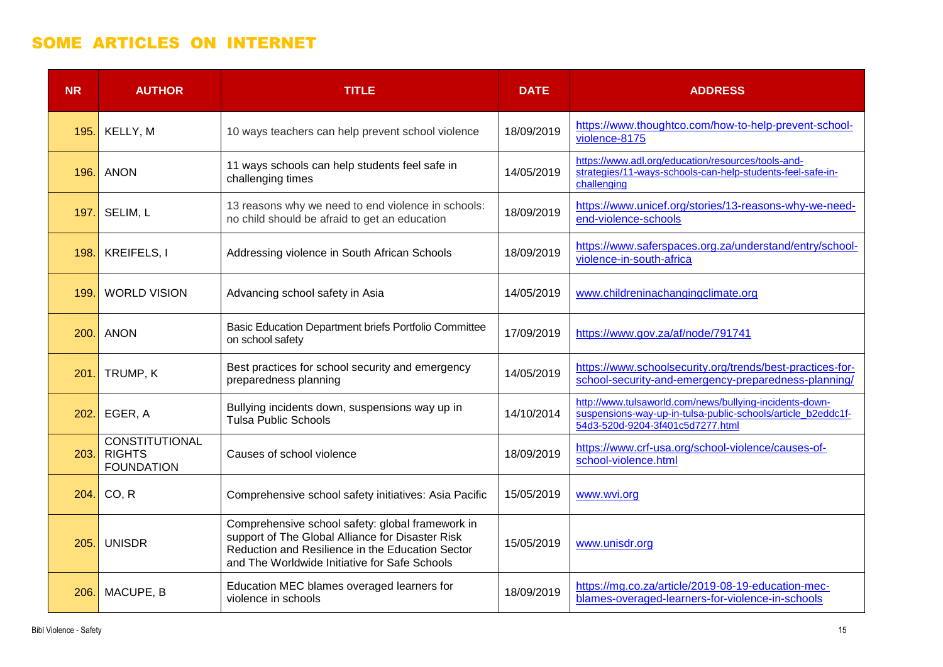#### SOME ARTICLES ON INTERNET

| <b>NR</b> | <b>AUTHOR</b>                                        | <b>TITLE</b>                                                                                                                                                                                              | <b>DATE</b> | <b>ADDRESS</b>                                                                                                                                              |
|-----------|------------------------------------------------------|-----------------------------------------------------------------------------------------------------------------------------------------------------------------------------------------------------------|-------------|-------------------------------------------------------------------------------------------------------------------------------------------------------------|
| 195.      | KELLY, M                                             | 10 ways teachers can help prevent school violence                                                                                                                                                         | 18/09/2019  | https://www.thoughtco.com/how-to-help-prevent-school-<br>violence-8175                                                                                      |
| 196.      | <b>ANON</b>                                          | 11 ways schools can help students feel safe in<br>challenging times                                                                                                                                       | 14/05/2019  | https://www.adl.org/education/resources/tools-and-<br>strategies/11-ways-schools-can-help-students-feel-safe-in-<br>challenging                             |
| 197.      | SELIM, L                                             | 13 reasons why we need to end violence in schools:<br>no child should be afraid to get an education                                                                                                       | 18/09/2019  | https://www.unicef.org/stories/13-reasons-why-we-need-<br>end-violence-schools                                                                              |
| 198.      | KREIFELS, I                                          | Addressing violence in South African Schools                                                                                                                                                              | 18/09/2019  | https://www.saferspaces.org.za/understand/entry/school-<br>violence-in-south-africa                                                                         |
| 199.      | <b>WORLD VISION</b>                                  | Advancing school safety in Asia                                                                                                                                                                           | 14/05/2019  | www.childreninachangingclimate.org                                                                                                                          |
| 200.      | <b>ANON</b>                                          | Basic Education Department briefs Portfolio Committee<br>on school safety                                                                                                                                 | 17/09/2019  | https://www.gov.za/af/node/791741                                                                                                                           |
| 201       | TRUMP, K                                             | Best practices for school security and emergency<br>preparedness planning                                                                                                                                 | 14/05/2019  | https://www.schoolsecurity.org/trends/best-practices-for-<br>school-security-and-emergency-preparedness-planning/                                           |
| 202.      | EGER, A                                              | Bullying incidents down, suspensions way up in<br><b>Tulsa Public Schools</b>                                                                                                                             | 14/10/2014  | http://www.tulsaworld.com/news/bullying-incidents-down-<br>suspensions-way-up-in-tulsa-public-schools/article_b2eddc1f-<br>54d3-520d-9204-3f401c5d7277.html |
| 203.      | CONSTITUTIONAL<br><b>RIGHTS</b><br><b>FOUNDATION</b> | Causes of school violence                                                                                                                                                                                 | 18/09/2019  | https://www.crf-usa.org/school-violence/causes-of-<br>school-violence.html                                                                                  |
| 204.I     | CO, R                                                | Comprehensive school safety initiatives: Asia Pacific                                                                                                                                                     | 15/05/2019  | www.wvi.org                                                                                                                                                 |
| 205.      | <b>UNISDR</b>                                        | Comprehensive school safety: global framework in<br>support of The Global Alliance for Disaster Risk<br>Reduction and Resilience in the Education Sector<br>and The Worldwide Initiative for Safe Schools | 15/05/2019  | www.unisdr.org                                                                                                                                              |
| 206.      | MACUPE, B                                            | Education MEC blames overaged learners for<br>violence in schools                                                                                                                                         | 18/09/2019  | https://mg.co.za/article/2019-08-19-education-mec-<br>blames-overaged-learners-for-violence-in-schools                                                      |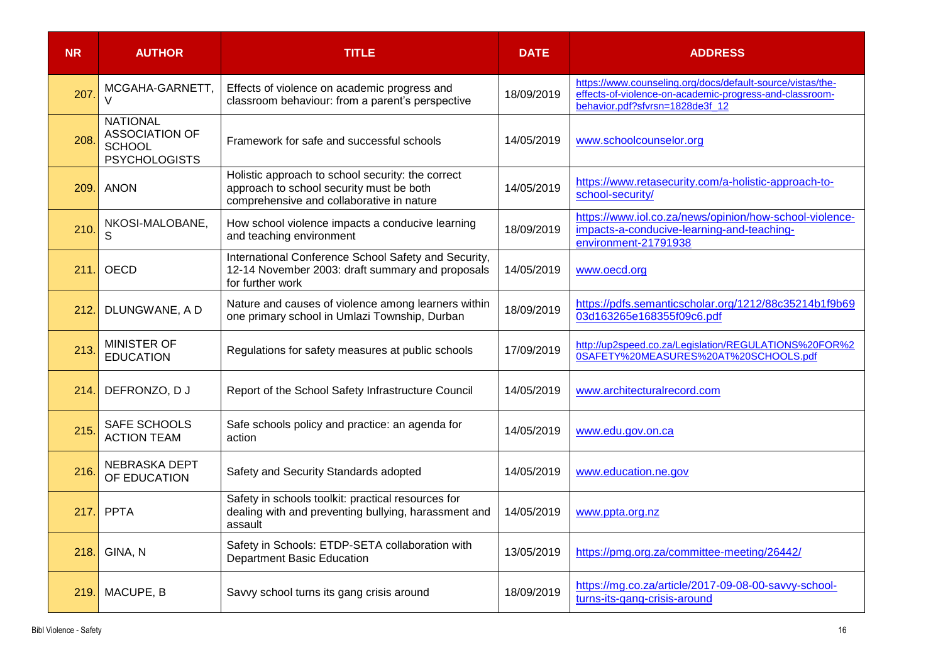| <b>NR</b> | <b>AUTHOR</b>                                                                     | <b>TITLE</b>                                                                                                                               | <b>DATE</b> | <b>ADDRESS</b>                                                                                                                                           |
|-----------|-----------------------------------------------------------------------------------|--------------------------------------------------------------------------------------------------------------------------------------------|-------------|----------------------------------------------------------------------------------------------------------------------------------------------------------|
| 207       | MCGAHA-GARNETT,<br>$\vee$                                                         | Effects of violence on academic progress and<br>classroom behaviour: from a parent's perspective                                           | 18/09/2019  | https://www.counseling.org/docs/default-source/vistas/the-<br>effects-of-violence-on-academic-progress-and-classroom-<br>behavior.pdf?sfvrsn=1828de3f_12 |
| 208       | <b>NATIONAL</b><br><b>ASSOCIATION OF</b><br><b>SCHOOL</b><br><b>PSYCHOLOGISTS</b> | Framework for safe and successful schools                                                                                                  | 14/05/2019  | www.schoolcounselor.org                                                                                                                                  |
| 209.      | <b>ANON</b>                                                                       | Holistic approach to school security: the correct<br>approach to school security must be both<br>comprehensive and collaborative in nature | 14/05/2019  | https://www.retasecurity.com/a-holistic-approach-to-<br>school-security/                                                                                 |
| 210.      | NKOSI-MALOBANE,<br>S                                                              | How school violence impacts a conducive learning<br>and teaching environment                                                               | 18/09/2019  | https://www.iol.co.za/news/opinion/how-school-violence-<br>impacts-a-conducive-learning-and-teaching-<br>environment-21791938                            |
| 211.      | <b>OECD</b>                                                                       | International Conference School Safety and Security,<br>12-14 November 2003: draft summary and proposals<br>for further work               | 14/05/2019  | www.oecd.org                                                                                                                                             |
| 212.      | DLUNGWANE, A D                                                                    | Nature and causes of violence among learners within<br>one primary school in Umlazi Township, Durban                                       | 18/09/2019  | https://pdfs.semanticscholar.org/1212/88c35214b1f9b69<br>03d163265e168355f09c6.pdf                                                                       |
| 213       | <b>MINISTER OF</b><br><b>EDUCATION</b>                                            | Regulations for safety measures at public schools                                                                                          | 17/09/2019  | http://up2speed.co.za/Legislation/REGULATIONS%20FOR%2<br>0SAFETY%20MEASURES%20AT%20SCHOOLS.pdf                                                           |
| 214.      | DEFRONZO, DJ                                                                      | Report of the School Safety Infrastructure Council                                                                                         | 14/05/2019  | www.architecturalrecord.com                                                                                                                              |
| 215       | SAFE SCHOOLS<br><b>ACTION TEAM</b>                                                | Safe schools policy and practice: an agenda for<br>action                                                                                  | 14/05/2019  | www.edu.gov.on.ca                                                                                                                                        |
| 216.      | <b>NEBRASKA DEPT</b><br>OF EDUCATION                                              | Safety and Security Standards adopted                                                                                                      | 14/05/2019  | www.education.ne.gov                                                                                                                                     |
| 217.      | PPTA                                                                              | Safety in schools toolkit: practical resources for<br>dealing with and preventing bullying, harassment and<br>assault                      | 14/05/2019  | www.ppta.org.nz                                                                                                                                          |
| 218.      | GINA, N                                                                           | Safety in Schools: ETDP-SETA collaboration with<br><b>Department Basic Education</b>                                                       | 13/05/2019  | https://pmg.org.za/committee-meeting/26442/                                                                                                              |
| 219.      | MACUPE, B                                                                         | Savvy school turns its gang crisis around                                                                                                  | 18/09/2019  | https://mg.co.za/article/2017-09-08-00-savvy-school-<br>turns-its-gang-crisis-around                                                                     |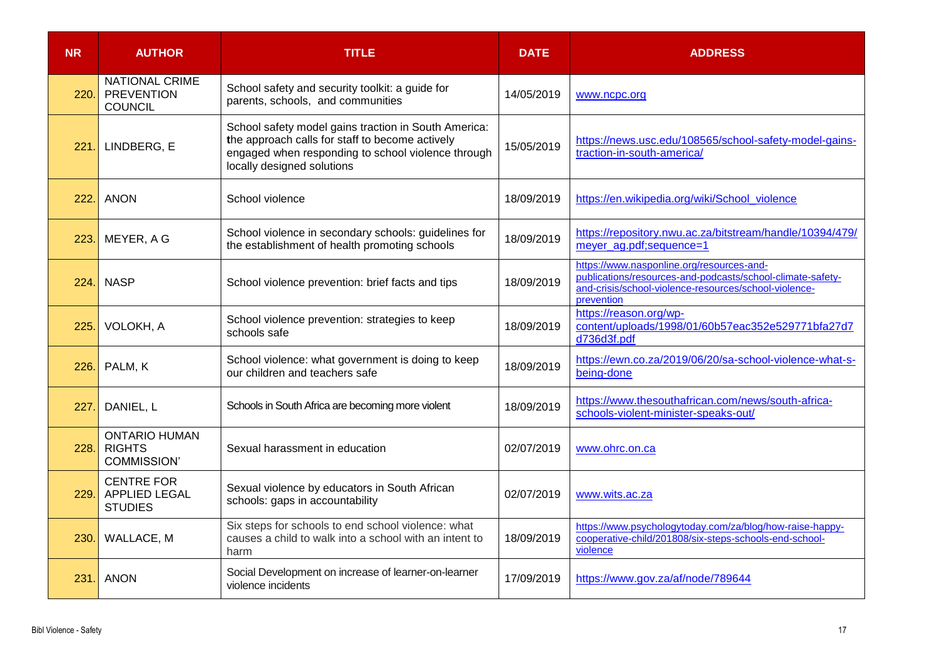| <b>NR</b> | <b>AUTHOR</b>                                                | <b>TITLE</b>                                                                                                                                                                                | <b>DATE</b> | <b>ADDRESS</b>                                                                                                                                                                 |
|-----------|--------------------------------------------------------------|---------------------------------------------------------------------------------------------------------------------------------------------------------------------------------------------|-------------|--------------------------------------------------------------------------------------------------------------------------------------------------------------------------------|
| 220.      | <b>NATIONAL CRIME</b><br><b>PREVENTION</b><br><b>COUNCIL</b> | School safety and security toolkit: a guide for<br>parents, schools, and communities                                                                                                        | 14/05/2019  | www.ncpc.org                                                                                                                                                                   |
| 221.      | LINDBERG, E                                                  | School safety model gains traction in South America:<br>the approach calls for staff to become actively<br>engaged when responding to school violence through<br>locally designed solutions | 15/05/2019  | https://news.usc.edu/108565/school-safety-model-gains-<br>traction-in-south-america/                                                                                           |
| 222.      | <b>ANON</b>                                                  | School violence                                                                                                                                                                             | 18/09/2019  | https://en.wikipedia.org/wiki/School_violence                                                                                                                                  |
| 223.      | MEYER, A G                                                   | School violence in secondary schools: guidelines for<br>the establishment of health promoting schools                                                                                       | 18/09/2019  | https://repository.nwu.ac.za/bitstream/handle/10394/479/<br>meyer_ag.pdf;sequence=1                                                                                            |
| 224.      | <b>NASP</b>                                                  | School violence prevention: brief facts and tips                                                                                                                                            | 18/09/2019  | https://www.nasponline.org/resources-and-<br>publications/resources-and-podcasts/school-climate-safety-<br>and-crisis/school-violence-resources/school-violence-<br>prevention |
| 225.      | VOLOKH, A                                                    | School violence prevention: strategies to keep<br>schools safe                                                                                                                              | 18/09/2019  | https://reason.org/wp-<br>content/uploads/1998/01/60b57eac352e529771bfa27d7<br>d736d3f.pdf                                                                                     |
| 226.      | PALM, K                                                      | School violence: what government is doing to keep<br>our children and teachers safe                                                                                                         | 18/09/2019  | https://ewn.co.za/2019/06/20/sa-school-violence-what-s-<br>being-done                                                                                                          |
| 227.      | DANIEL, L                                                    | Schools in South Africa are becoming more violent                                                                                                                                           | 18/09/2019  | https://www.thesouthafrican.com/news/south-africa-<br>schools-violent-minister-speaks-out/                                                                                     |
| 228.      | <b>ONTARIO HUMAN</b><br><b>RIGHTS</b><br><b>COMMISSION'</b>  | Sexual harassment in education                                                                                                                                                              | 02/07/2019  | www.ohrc.on.ca                                                                                                                                                                 |
| 229.      | <b>CENTRE FOR</b><br><b>APPLIED LEGAL</b><br><b>STUDIES</b>  | Sexual violence by educators in South African<br>schools: gaps in accountability                                                                                                            | 02/07/2019  | www.wits.ac.za                                                                                                                                                                 |
| 230.      | WALLACE, M                                                   | Six steps for schools to end school violence: what<br>causes a child to walk into a school with an intent to<br>harm                                                                        | 18/09/2019  | https://www.psychologytoday.com/za/blog/how-raise-happy-<br>cooperative-child/201808/six-steps-schools-end-school-<br>violence                                                 |
| 231.      | <b>ANON</b>                                                  | Social Development on increase of learner-on-learner<br>violence incidents                                                                                                                  | 17/09/2019  | https://www.gov.za/af/node/789644                                                                                                                                              |